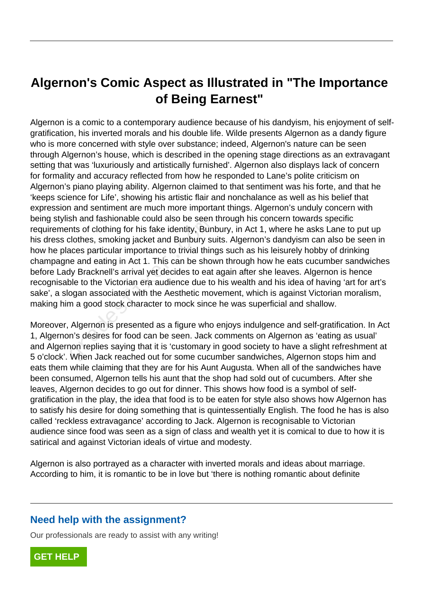# **Algernon's Comic Aspect as Illustrated in "The Importance of Being Earnest"**

Algernon is a comic to a contemporary audience because of his dandyism, his enjoyment of selfgratification, his inverted morals and his double life. Wilde presents Algernon as a dandy figure who is more concerned with style over substance; indeed, Algernon's nature can be seen through Algernon's house, which is described in the opening stage directions as an extravagant setting that was 'luxuriously and artistically furnished'. Algernon also displays lack of concern for formality and accuracy reflected from how he responded to Lane's polite criticism on Algernon's piano playing ability. Algernon claimed to that sentiment was his forte, and that he 'keeps science for Life', showing his artistic flair and nonchalance as well as his belief that expression and sentiment are much more important things. Algernon's unduly concern with being stylish and fashionable could also be seen through his concern towards specific requirements of clothing for his fake identity, Bunbury, in Act 1, where he asks Lane to put up his dress clothes, smoking jacket and Bunbury suits. Algernon's dandyism can also be seen in how he places particular importance to trivial things such as his leisurely hobby of drinking champagne and eating in Act 1. This can be shown through how he eats cucumber sandwiches before Lady Bracknell's arrival yet decides to eat again after she leaves. Algernon is hence recognisable to the Victorian era audience due to his wealth and his idea of having 'art for art's sake', a slogan associated with the Aesthetic movement, which is against Victorian moralism, making him a good stock character to mock since he was superficial and shallow. sir and rashibitable colld also be seen<br>the of clothing for his fake identity, Bun<br>clothes, smoking jacket and Bunbury su<br>aces particular importance to trivial thin<br>e and eating in Act 1. This can be show<br>by Bracknell's ar

Moreover, Algernon is presented as a figure who enjoys indulgence and self-gratification. In Act 1, Algernon's desires for food can be seen. Jack comments on Algernon as 'eating as usual' and Algernon replies saying that it is 'customary in good society to have a slight refreshment at 5 o'clock'. When Jack reached out for some cucumber sandwiches, Algernon stops him and eats them while claiming that they are for his Aunt Augusta. When all of the sandwiches have been consumed, Algernon tells his aunt that the shop had sold out of cucumbers. After she leaves, Algernon decides to go out for dinner. This shows how food is a symbol of selfgratification in the play, the idea that food is to be eaten for style also shows how Algernon has to satisfy his desire for doing something that is quintessentially English. The food he has is also called 'reckless extravagance' according to Jack. Algernon is recognisable to Victorian audience since food was seen as a sign of class and wealth yet it is comical to due to how it is satirical and against Victorian ideals of virtue and modesty.

Algernon is also portrayed as a character with inverted morals and ideas about marriage. According to him, it is romantic to be in love but 'there is nothing romantic about definite

## **Need help with the assignment?**

Our professionals are ready to assist with any writing!

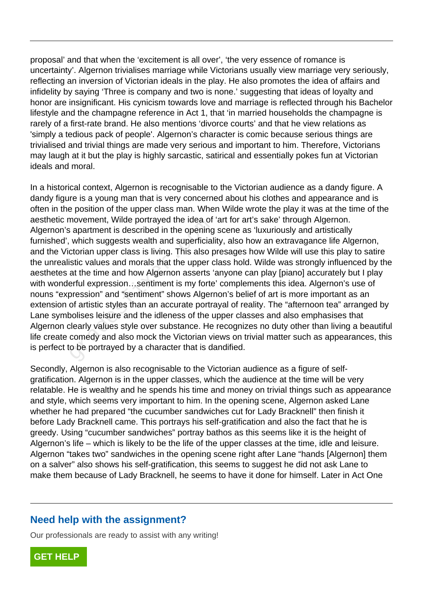proposal' and that when the 'excitement is all over', 'the very essence of romance is uncertainty'. Algernon trivialises marriage while Victorians usually view marriage very seriously, reflecting an inversion of Victorian ideals in the play. He also promotes the idea of affairs and infidelity by saying 'Three is company and two is none.' suggesting that ideas of loyalty and honor are insignificant. His cynicism towards love and marriage is reflected through his Bachelor lifestyle and the champagne reference in Act 1, that 'in married households the champagne is rarely of a first-rate brand. He also mentions 'divorce courts' and that he view relations as 'simply a tedious pack of people'. Algernon's character is comic because serious things are trivialised and trivial things are made very serious and important to him. Therefore, Victorians may laugh at it but the play is highly sarcastic, satirical and essentially pokes fun at Victorian ideals and moral.

In a historical context, Algernon is recognisable to the Victorian audience as a dandy figure. A dandy figure is a young man that is very concerned about his clothes and appearance and is often in the position of the upper class man. When Wilde wrote the play it was at the time of the aesthetic movement, Wilde portrayed the idea of 'art for art's sake' through Algernon. Algernon's apartment is described in the opening scene as 'luxuriously and artistically furnished', which suggests wealth and superficiality, also how an extravagance life Algernon, and the Victorian upper class is living. This also presages how Wilde will use this play to satire the unrealistic values and morals that the upper class hold. Wilde was strongly influenced by the aesthetes at the time and how Algernon asserts 'anyone can play [piano] accurately but I play with wonderful expression…sentiment is my forte' complements this idea. Algernon's use of nouns "expression" and "sentiment" shows Algernon's belief of art is more important as an extension of artistic styles than an accurate portrayal of reality. The "afternoon tea" arranged by Lane symbolises leisure and the idleness of the upper classes and also emphasises that Algernon clearly values style over substance. He recognizes no duty other than living a beautiful life create comedy and also mock the Victorian views on trivial matter such as appearances, this is perfect to be portrayed by a character that is dandified. novement, which portrayed the idea of<br>a spartment is described in the opening<br>which suggests wealth and superficial<br>ctorian upper class is living. This also p<br>istic values and morals that the upper c<br>at the time and how Al

Secondly, Algernon is also recognisable to the Victorian audience as a figure of selfgratification. Algernon is in the upper classes, which the audience at the time will be very relatable. He is wealthy and he spends his time and money on trivial things such as appearance and style, which seems very important to him. In the opening scene, Algernon asked Lane whether he had prepared "the cucumber sandwiches cut for Lady Bracknell" then finish it before Lady Bracknell came. This portrays his self-gratification and also the fact that he is greedy. Using "cucumber sandwiches" portray bathos as this seems like it is the height of Algernon's life – which is likely to be the life of the upper classes at the time, idle and leisure. Algernon "takes two" sandwiches in the opening scene right after Lane "hands [Algernon] them on a salver" also shows his self-gratification, this seems to suggest he did not ask Lane to make them because of Lady Bracknell, he seems to have it done for himself. Later in Act One

#### **Need help with the assignment?**

Our professionals are ready to assist with any writing!

**[GET HELP](https://my.gradesfixer.com/order?utm_campaign=pdf_sample)**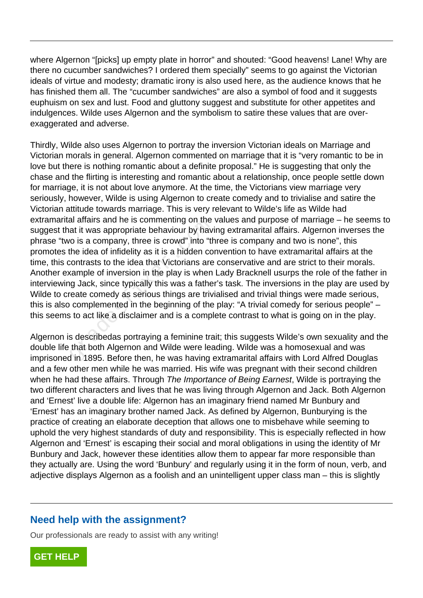where Algernon "[picks] up empty plate in horror" and shouted: "Good heavens! Lane! Why are there no cucumber sandwiches? I ordered them specially" seems to go against the Victorian ideals of virtue and modesty; dramatic irony is also used here, as the audience knows that he has finished them all. The "cucumber sandwiches" are also a symbol of food and it suggests euphuism on sex and lust. Food and gluttony suggest and substitute for other appetites and indulgences. Wilde uses Algernon and the symbolism to satire these values that are overexaggerated and adverse.

Thirdly, Wilde also uses Algernon to portray the inversion Victorian ideals on Marriage and Victorian morals in general. Algernon commented on marriage that it is "very romantic to be in love but there is nothing romantic about a definite proposal." He is suggesting that only the chase and the flirting is interesting and romantic about a relationship, once people settle down for marriage, it is not about love anymore. At the time, the Victorians view marriage very seriously, however, Wilde is using Algernon to create comedy and to trivialise and satire the Victorian attitude towards marriage. This is very relevant to Wilde's life as Wilde had extramarital affairs and he is commenting on the values and purpose of marriage – he seems to suggest that it was appropriate behaviour by having extramarital affairs. Algernon inverses the phrase "two is a company, three is crowd" into "three is company and two is none", this promotes the idea of infidelity as it is a hidden convention to have extramarital affairs at the time, this contrasts to the idea that Victorians are conservative and are strict to their morals. Another example of inversion in the play is when Lady Bracknell usurps the role of the father in interviewing Jack, since typically this was a father's task. The inversions in the play are used by Wilde to create comedy as serious things are trivialised and trivial things were made serious, this is also complemented in the beginning of the play: "A trivial comedy for serious people" – this seems to act like a disclaimer and is a complete contrast to what is going on in the play. al analis and he is commenting on the<br>at it was appropriate behaviour by havio<br>io is a company, three is crowd" into "the<br>idea of infidelity as it is a hidden co<br>contrasts to the idea that Victorians are<br>cample of inversio

Algernon is describedas portraying a feminine trait; this suggests Wilde's own sexuality and the double life that both Algernon and Wilde were leading. Wilde was a homosexual and was imprisoned in 1895. Before then, he was having extramarital affairs with Lord Alfred Douglas and a few other men while he was married. His wife was pregnant with their second children when he had these affairs. Through The Importance of Being Earnest, Wilde is portraying the two different characters and lives that he was living through Algernon and Jack. Both Algernon and 'Ernest' live a double life: Algernon has an imaginary friend named Mr Bunbury and 'Ernest' has an imaginary brother named Jack. As defined by Algernon, Bunburying is the practice of creating an elaborate deception that allows one to misbehave while seeming to uphold the very highest standards of duty and responsibility. This is especially reflected in how Algernon and 'Ernest' is escaping their social and moral obligations in using the identity of Mr Bunbury and Jack, however these identities allow them to appear far more responsible than they actually are. Using the word 'Bunbury' and regularly using it in the form of noun, verb, and adjective displays Algernon as a foolish and an unintelligent upper class man – this is slightly

## **Need help with the assignment?**

Our professionals are ready to assist with any writing!

**[GET HELP](https://my.gradesfixer.com/order?utm_campaign=pdf_sample)**